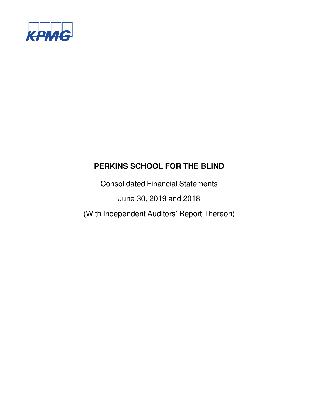

Consolidated Financial Statements June 30, 2019 and 2018 (With Independent Auditors' Report Thereon)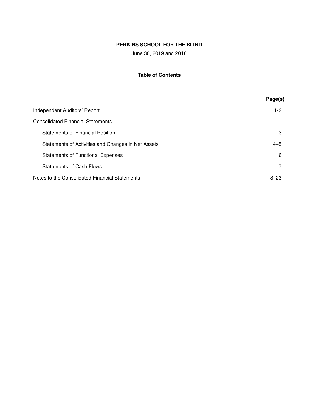June 30, 2019 and 2018

#### **Table of Contents**

|                                                    | Page(s)  |
|----------------------------------------------------|----------|
| Independent Auditors' Report                       | $1-2$    |
| <b>Consolidated Financial Statements</b>           |          |
| <b>Statements of Financial Position</b>            | 3        |
| Statements of Activities and Changes in Net Assets | $4 - 5$  |
| <b>Statements of Functional Expenses</b>           | 6        |
| <b>Statements of Cash Flows</b>                    |          |
| Notes to the Consolidated Financial Statements     | $8 - 23$ |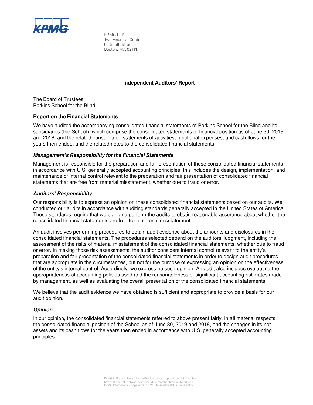

KPMG LLP Two Financial Center 60 South Street Boston, MA 02111

#### **Independent Auditors' Report**

The Board of Trustees Perkins School for the Blind:

#### **Report on the Financial Statements**

We have audited the accompanying consolidated financial statements of Perkins School for the Blind and its subsidiaries (the School), which comprise the consolidated statements of financial position as of June 30, 2019 and 2018, and the related consolidated statements of activities, functional expenses, and cash flows for the years then ended, and the related notes to the consolidated financial statements.

#### **Management***'***s Responsibility for the Financial Statements**

Management is responsible for the preparation and fair presentation of these consolidated financial statements in accordance with U.S. generally accepted accounting principles; this includes the design, implementation, and maintenance of internal control relevant to the preparation and fair presentation of consolidated financial statements that are free from material misstatement, whether due to fraud or error.

#### **Auditors***'* **Responsibility**

Our responsibility is to express an opinion on these consolidated financial statements based on our audits. We conducted our audits in accordance with auditing standards generally accepted in the United States of America. Those standards require that we plan and perform the audits to obtain reasonable assurance about whether the consolidated financial statements are free from material misstatement.

An audit involves performing procedures to obtain audit evidence about the amounts and disclosures in the consolidated financial statements. The procedures selected depend on the auditors' judgment, including the assessment of the risks of material misstatement of the consolidated financial statements, whether due to fraud or error. In making those risk assessments, the auditor considers internal control relevant to the entity's preparation and fair presentation of the consolidated financial statements in order to design audit procedures that are appropriate in the circumstances, but not for the purpose of expressing an opinion on the effectiveness of the entity's internal control. Accordingly, we express no such opinion. An audit also includes evaluating the appropriateness of accounting policies used and the reasonableness of significant accounting estimates made by management, as well as evaluating the overall presentation of the consolidated financial statements.

We believe that the audit evidence we have obtained is sufficient and appropriate to provide a basis for our audit opinion.

#### **Opinion**

In our opinion, the consolidated financial statements referred to above present fairly, in all material respects, the consolidated financial position of the School as of June 30, 2019 and 2018, and the changes in its net assets and its cash flows for the years then ended in accordance with U.S. generally accepted accounting principles.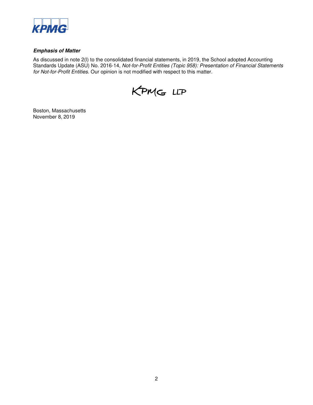

#### **Emphasis of Matter**

As discussed in note 2(l) to the consolidated financial statements, in 2019, the School adopted Accounting Standards Update (ASU) No. 2016-14, *Not-for-Profit Entities (Topic 958): Presentation of Financial Statements for Not-for-Profit Entities*. Our opinion is not modified with respect to this matter.



Boston, Massachusetts November 8, 2019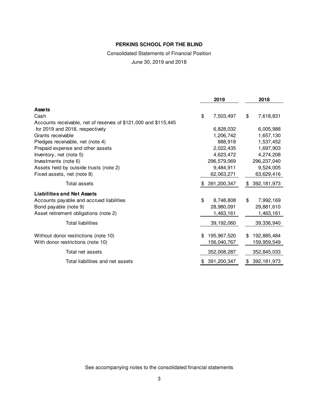Consolidated Statements of Financial Position June 30, 2019 and 2018

|                                                                 | 2019 |             | 2018                |  |
|-----------------------------------------------------------------|------|-------------|---------------------|--|
| <b>Assets</b>                                                   |      |             |                     |  |
| Cash                                                            | \$   | 7,503,497   | \$<br>7,618,831     |  |
| Accounts receivable, net of reserves of \$121,000 and \$115,445 |      |             |                     |  |
| for 2019 and 2018, respectively                                 |      | 6,828,032   | 6,005,988           |  |
| Grants receivable                                               |      | 1,206,742   | 1,657,130           |  |
| Pledges receivable, net (note 4)                                |      | 888,918     | 1,537,452           |  |
| Prepaid expense and other assets                                |      | 2,022,435   | 1,697,903           |  |
| Inventory, net (note 5)                                         |      | 4,623,472   | 4,274,208           |  |
| Investments (note 6)                                            |      | 296,579,069 | 296, 237, 040       |  |
| Assets held by outside trusts (note 2)                          |      | 9,484,911   | 9,524,005           |  |
| Fixed assets, net (note 8)                                      |      | 62,063,271  | 63,629,416          |  |
| Total assets                                                    | \$.  | 391,200,347 | \$<br>392, 181, 973 |  |
| <b>Liabilities and Net Assets</b>                               |      |             |                     |  |
| Accounts payable and accrued liabilities                        | \$   | 8,748,808   | \$<br>7,992,169     |  |
| Bond payable (note 9)                                           |      | 28,980,091  | 29,881,610          |  |
| Asset retirement obligations (note 2)                           |      | 1,463,161   | 1,463,161           |  |
| <b>Total liabilities</b>                                        |      | 39,192,060  | 39,336,940          |  |
| Without donor restrictions (note 10)                            | \$   | 195,967,520 | \$<br>192,885,484   |  |
| With donor restrictions (note 10)                               |      | 156,040,767 | 159,959,549         |  |
| Total net assets                                                |      | 352,008,287 | 352,845,033         |  |
| Total liabilities and net assets                                | \$   | 391,200,347 | 392, 181, 973       |  |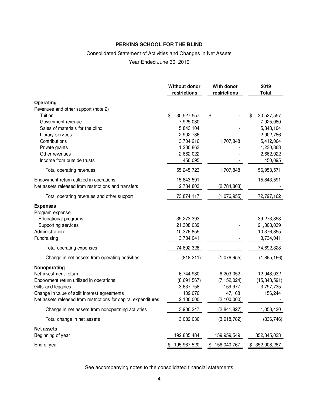# Consolidated Statement of Activities and Changes in Net Assets

Year Ended June 30, 2019

|                                                                | <b>Without donor</b><br>restrictions | With donor<br>restrictions | 2019<br>Total    |
|----------------------------------------------------------------|--------------------------------------|----------------------------|------------------|
| Operating                                                      |                                      |                            |                  |
| Revenues and other support (note 2)                            |                                      |                            |                  |
| Tuition                                                        | \$<br>30,527,557                     | \$                         | \$<br>30,527,557 |
| Government revenue                                             | 7,925,080                            |                            | 7,925,080        |
| Sales of materials for the blind                               | 5,843,104                            |                            | 5,843,104        |
| Library services                                               | 2,902,786                            |                            | 2,902,786        |
| Contributions                                                  | 3,704,216                            | 1,707,848                  | 5,412,064        |
| Private grants                                                 | 1,230,863                            |                            | 1,230,863        |
| Other revenues                                                 | 2,662,022                            |                            | 2,662,022        |
| Income from outside trusts                                     | 450,095                              |                            | 450,095          |
| Total operating revenues                                       | 55,245,723                           | 1,707,848                  | 56,953,571       |
| Endowment return utilized in operations                        | 15,843,591                           |                            | 15,843,591       |
| Net assets released from restrictions and transfers            | 2,784,803                            | (2,784,803)                |                  |
| Total operating revenues and other support                     | 73,874,117                           | (1,076,955)                | 72,797,162       |
| <b>Expenses</b><br>Program expense                             |                                      |                            |                  |
| Educational programs                                           | 39,273,393                           |                            | 39,273,393       |
| Supporting services                                            | 21,308,039                           |                            | 21,308,039       |
| Administration                                                 | 10,376,855                           |                            | 10,376,855       |
| Fundraising                                                    | 3,734,041                            |                            | 3,734,041        |
| Total operating expenses                                       | 74,692,328                           |                            | 74,692,328       |
| Change in net assets from operating activities                 | (818, 211)                           | (1,076,955)                | (1,895,166)      |
| Nonoperating                                                   |                                      |                            |                  |
| Net investment return                                          | 6,744,980                            | 6,203,052                  | 12,948,032       |
| Endowment return utilized in operations                        | (8,691,567)                          | (7, 152, 024)              | (15, 843, 591)   |
| Gifts and legacies                                             | 3,637,758                            | 159,977                    | 3,797,735        |
| Change in value of split interest agreements                   | 109,076                              | 47,168                     | 156,244          |
| Net assets released from restrictions for capital expenditures | 2,100,000                            | (2,100,000)                |                  |
| Change in net assets from nonoperating activities              | 3,900,247                            | (2,841,827)                | 1,058,420        |
| Total change in net assets                                     | 3,082,036                            | (3,918,782)                | (836, 746)       |
| Net assets                                                     |                                      |                            |                  |
| Beginning of year                                              | 192,885,484                          | 159,959,549                | 352,845,033      |
| End of year                                                    | 195,967,520<br>\$                    | \$<br>156,040,767          | \$ 352,008,287   |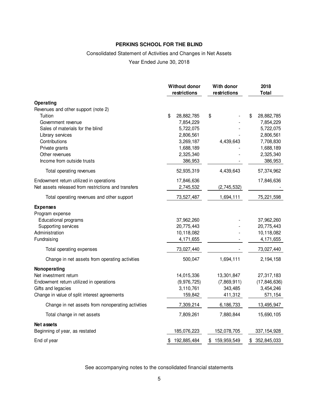# Consolidated Statement of Activities and Changes in Net Assets

Year Ended June 30, 2018

|                                                     | <b>Without donor</b><br>With donor<br>restrictions<br>restrictions |                   | 2018<br><b>Total</b> |
|-----------------------------------------------------|--------------------------------------------------------------------|-------------------|----------------------|
| Operating                                           |                                                                    |                   |                      |
| Revenues and other support (note 2)                 |                                                                    |                   |                      |
| Tuition                                             | \$<br>28,882,785                                                   | \$                | \$<br>28,882,785     |
| Government revenue                                  | 7,854,229                                                          |                   | 7,854,229            |
| Sales of materials for the blind                    | 5,722,075                                                          |                   | 5,722,075            |
| Library services                                    | 2,806,561                                                          |                   | 2,806,561            |
| Contributions                                       | 3,269,187                                                          | 4,439,643         | 7,708,830            |
| Private grants                                      | 1,688,189                                                          |                   | 1,688,189            |
| Other revenues                                      | 2,325,340                                                          |                   | 2,325,340            |
| Income from outside trusts                          | 386,953                                                            |                   | 386,953              |
| Total operating revenues                            | 52,935,319                                                         | 4,439,643         | 57,374,962           |
| Endowment return utilized in operations             | 17,846,636                                                         |                   | 17,846,636           |
| Net assets released from restrictions and transfers | 2,745,532                                                          | (2,745,532)       |                      |
| Total operating revenues and other support          | 73,527,487                                                         | 1,694,111         | 75,221,598           |
| <b>Expenses</b><br>Program expense                  |                                                                    |                   |                      |
| <b>Educational programs</b>                         | 37,962,260                                                         |                   | 37,962,260           |
| Supporting services                                 | 20,775,443                                                         |                   | 20,775,443           |
| Administration                                      | 10,118,082                                                         |                   | 10,118,082           |
| Fundraising                                         | 4,171,655                                                          |                   | 4,171,655            |
| Total operating expenses                            | 73,027,440                                                         |                   | 73,027,440           |
| Change in net assets from operating activities      | 500,047                                                            | 1,694,111         | 2,194,158            |
| Nonoperating                                        |                                                                    |                   |                      |
| Net investment return                               | 14,015,336                                                         | 13,301,847        | 27,317,183           |
| Endowment return utilized in operations             | (9,976,725)                                                        | (7,869,911)       | (17, 846, 636)       |
| Gifts and legacies                                  | 3,110,761                                                          | 343,485           | 3,454,246            |
| Change in value of split interest agreements        | 159,842                                                            | 411,312           | 571,154              |
| Change in net assets from nonoperating activities   | 7,309,214                                                          | 6,186,733         | 13,495,947           |
| Total change in net assets                          | 7,809,261                                                          | 7,880,844         | 15,690,105           |
| Net assets                                          |                                                                    |                   |                      |
| Beginning of year, as restated                      | 185,076,223                                                        | 152,078,705       | 337, 154, 928        |
| End of year                                         | 192,885,484<br>\$                                                  | 159,959,549<br>\$ | \$ 352,845,033       |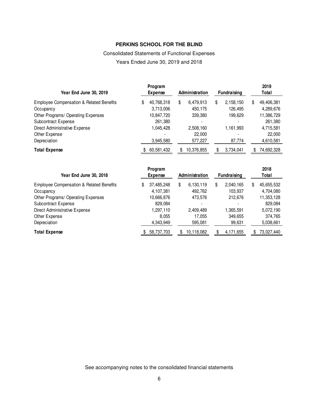# Consolidated Statements of Functional Expenses Years Ended June 30, 2019 and 2018

|                                                     | Program                  |                  |                    | 2019             |
|-----------------------------------------------------|--------------------------|------------------|--------------------|------------------|
| Year End June 30, 2019                              | <b>Expense</b>           | Administration   | <b>Fundraising</b> | Total            |
| <b>Employee Compensation &amp; Related Benefits</b> | 40,768,318<br>\$         | \$<br>6,479,913  | 2,158,150<br>\$    | 49,406,381<br>\$ |
| Occupancy                                           | 3,713,006                | 450.175          | 126.495            | 4,289,676        |
| Other Programs/ Operating Expenses                  | 10,847,720               | 339,380          | 199.629            | 11,386,729       |
| Subcontract Expense                                 | 261,380                  |                  |                    | 261,380          |
| Direct Administrative Expense                       | 1,045,428                | 2,508,160        | 1,161,993          | 4,715,581        |
| Other Expense                                       | $\overline{\phantom{a}}$ | 22,000           | ۰                  | 22,000           |
| Depreciation                                        | 3,945,580                | 577,227          | 87,774             | 4,610,581        |
| <b>Total Expense</b>                                | 60,581,432               | 10,376,855<br>\$ | 3,734,041          | 74,692,328<br>\$ |

|                                          | Program          |                  |                    | 2018             |
|------------------------------------------|------------------|------------------|--------------------|------------------|
| Year End June 30, 2018                   | <b>Expense</b>   | Administration   | <b>Fundraising</b> | Total            |
| Employee Compensation & Related Benefits | 37,485,248<br>\$ | \$<br>6,130,119  | 2,040,165<br>\$    | 45,655,532<br>S  |
| Occupancy                                | 4,107,381        | 492.762          | 103.937            | 4,704,080        |
| Other Programs/ Operating Expenses       | 10,666,876       | 473,576          | 212,676            | 11,353,128       |
| Subcontract Expense                      | 829,084          | $\blacksquare$   |                    | 829,084          |
| Direct Administrative Expense            | 1,297,110        | 2,409,489        | 1,365,591          | 5,072,190        |
| Other Expense                            | 8.055            | 17,055           | 349,655            | 374,765          |
| Depreciation                             | 4,343,949        | 595,081          | 99,631             | 5,038,661        |
| <b>Total Expense</b>                     | 58,737,703       | 10,118,082<br>\$ | 4,171,655          | 73,027,440<br>\$ |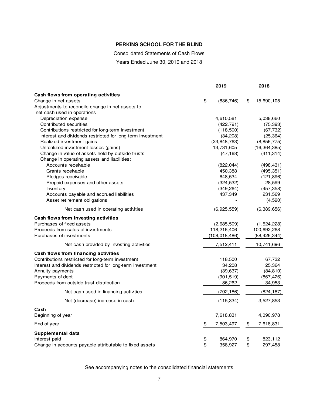Consolidated Statements of Cash Flows Years Ended June 30, 2019 and 2018

|                                                            |               | 2019           | 2018             |
|------------------------------------------------------------|---------------|----------------|------------------|
| Cash flows from operating activities                       |               |                |                  |
| Change in net assets                                       | \$            | (836, 746)     | \$<br>15,690,105 |
| Adjustments to reconcile change in net assets to           |               |                |                  |
| net cash used in operations                                |               |                |                  |
| Depreciation expense                                       |               | 4,610,581      | 5,038,660        |
| Contributed securities                                     |               | (422, 791)     | (75, 393)        |
| Contributions restricted for long-term investment          |               | (118,500)      | (67, 732)        |
| Interest and dividends restricted for long-term investment |               | (34, 208)      | (25, 364)        |
| Realized investment gains                                  |               | (23, 848, 763) | (8,856,775)      |
| Unrealized investment losses (gains)                       |               | 13,731,605     | (16, 364, 385)   |
| Change in value of assets held by outside trusts           |               | (47, 168)      | (411, 314)       |
| Change in operating assets and liabilities:                |               |                |                  |
| Accounts receivable                                        |               | (822, 044)     | (498, 431)       |
| Grants receivable                                          |               | 450,388        | (495, 351)       |
| Pledges receivable                                         |               | 648,534        | (121, 896)       |
| Prepaid expenses and other assets                          |               | (324, 532)     | 28,599           |
| Inventory                                                  |               | (349, 264)     | (457, 358)       |
| Accounts payable and accrued liabilities                   |               | 437,349        | 231,569          |
| Asset retirement obligations                               |               |                | (4,590)          |
| Net cash used in operating activities                      |               | (6,925,559)    | (6,389,656)      |
|                                                            |               |                |                  |
| Cash flows from investing activities                       |               |                |                  |
| Purchases of fixed assets                                  |               | (2,685,509)    | (1,524,228)      |
| Proceeds from sales of investments                         |               | 118,216,406    | 100,692,268      |
| Purchases of investments                                   |               | (108,018,486)  | (88, 426, 344)   |
| Net cash provided by investing activities                  |               | 7,512,411      | 10,741,696       |
| Cash flows from financing activities                       |               |                |                  |
| Contributions restricted for long-term investment          |               | 118,500        | 67,732           |
| Interest and dividends restricted for long-term investment |               | 34,208         | 25,364           |
| Annuity payments                                           |               | (39, 637)      | (84, 810)        |
| Payments of debt                                           |               | (901, 519)     | (867, 426)       |
| Proceeds from outside trust distribution                   |               | 86,262         | 34,953           |
| Net cash used in financing activities                      |               | (702, 186)     | (824, 187)       |
| Net (decrease) increase in cash                            |               | (115, 334)     | 3,527,853        |
|                                                            |               |                |                  |
| Casth                                                      |               |                |                  |
| Beginning of year                                          |               | 7,618,831      | 4,090,978        |
| End of year                                                | $\frac{1}{2}$ | 7,503,497      | \$<br>7,618,831  |
| Supplemental data                                          |               |                |                  |
| Interest paid                                              | \$            | 864,970        | \$<br>823,112    |
| Change in accounts payable attributable to fixed assets    | \$            | 358,927        | \$<br>297,458    |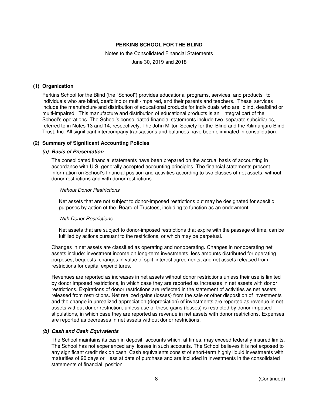Notes to the Consolidated Financial Statements

June 30, 2019 and 2018

#### **(1) Organization**

Perkins School for the Blind (the "School") provides educational programs, services, and products to individuals who are blind, deafblind or multi-impaired, and their parents and teachers. These services include the manufacture and distribution of educational products for individuals who are blind, deafblind or multi-impaired. This manufacture and distribution of educational products is an integral part of the School's operations. The School's consolidated financial statements include two separate subsidiaries, referred to in Notes 13 and 14, respectively: The John Milton Society for the Blind and the Kilimanjaro Blind Trust, Inc. All significant intercompany transactions and balances have been eliminated in consolidation.

#### **(2) Summary of Significant Accounting Policies**

#### **(a) Basis of Presentation**

The consolidated financial statements have been prepared on the accrual basis of accounting in accordance with U.S. generally accepted accounting principles. The financial statements present information on School's financial position and activities according to two classes of net assets: without donor restrictions and with donor restrictions.

#### *Without Donor Restrictions*

Net assets that are not subject to donor-imposed restrictions but may be designated for specific purposes by action of the Board of Trustees, including to function as an endowment.

#### *With Donor Restrictions*

Net assets that are subject to donor-imposed restrictions that expire with the passage of time, can be fulfilled by actions pursuant to the restrictions, or which may be perpetual.

Changes in net assets are classified as operating and nonoperating. Changes in nonoperating net assets include: investment income on long-term investments, less amounts distributed for operating purposes; bequests; changes in value of split interest agreements; and net assets released from restrictions for capital expenditures.

Revenues are reported as increases in net assets without donor restrictions unless their use is limited by donor imposed restrictions, in which case they are reported as increases in net assets with donor restrictions. Expirations of donor restrictions are reflected in the statement of activities as net assets released from restrictions. Net realized gains (losses) from the sale or other disposition of investments and the change in unrealized appreciation (depreciation) of investments are reported as revenue in net assets without donor restriction, unless use of these gains (losses) is restricted by donor-imposed stipulations, in which case they are reported as revenue in net assets with donor restrictions. Expenses are reported as decreases in net assets without donor restrictions.

#### **(b) Cash and Cash Equivalents**

The School maintains its cash in deposit accounts which, at times, may exceed federally insured limits. The School has not experienced any losses in such accounts. The School believes it is not exposed to any significant credit risk on cash. Cash equivalents consist of short-term highly liquid investments with maturities of 90 days or less at date of purchase and are included in investments in the consolidated statements of financial position.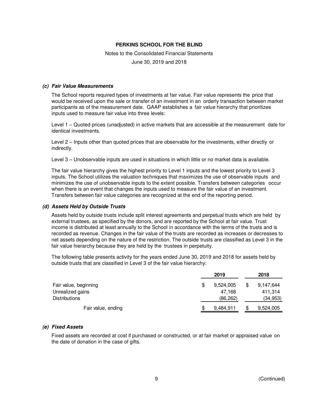Notes to the Consolidated Financial Statements

June 30, 2019 and 2018

#### **(c) Fair Value Measurements**

The School reports required types of investments at fair value. Fair value represents the price that would be received upon the sale or transfer of an investment in an orderly transaction between market participants as of the measurement date. GAAP establishes a fair value hierarchy that prioritizes inputs used to measure fair value into three levels:

Level 1 – Quoted prices (unadjusted) in active markets that are accessible at the measurement date for identical investments.

Level 2 – Inputs other than quoted prices that are observable for the investments, either directly or indirectly.

Level 3 – Unobservable inputs are used in situations in which little or no market data is available.

The fair value hierarchy gives the highest priority to Level 1 inputs and the lowest priority to Level 3 inputs. The School utilizes the valuation techniques that maximizes the use of observable inputs and minimizes the use of unobservable inputs to the extent possible. Transfers between categories occur when there is an event that changes the inputs used to measure the fair value of an investment. Transfers between fair value categories are recognized at the end of the reporting period.

#### **(d) Assets Held by Outside Trusts**

Assets held by outside trusts include split interest agreements and perpetual trusts which are held by external trustees, as specified by the donors, and are reported by the School at fair value. Trust income is distributed at least annually to the School in accordance with the terms of the trusts and is recorded as revenue. Changes in the fair value of the trusts are recorded as increases or decreases to net assets depending on the nature of the restriction. The outside trusts are classified as Level 3 in the fair value hierarchy because they are held by the trustees in perpetuity.

The following table presents activity for the years ended June 30, 2019 and 2018 for assets held by outside trusts that are classified in Level 3 of the fair value hierarchy:

|                       | 2019      | 2018      |
|-----------------------|-----------|-----------|
| Fair value, beginning | 9,524,005 | 9,147,644 |
| Unrealized gains      | 47.168    | 411,314   |
| Distributions         | (86, 262) | (34, 953) |
| Fair value, ending    | 9.484.911 | 9,524,005 |

#### **(e) Fixed Assets**

Fixed assets are recorded at cost if purchased or constructed, or at fair market or appraised value on the date of donation in the case of gifts.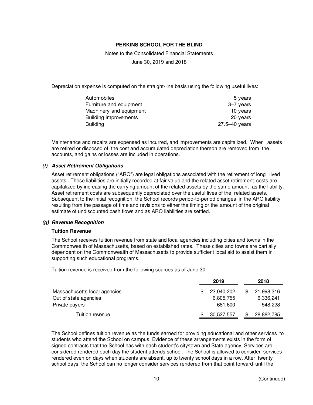Notes to the Consolidated Financial Statements June 30, 2019 and 2018

Depreciation expense is computed on the straight-line basis using the following useful lives:

| Automobiles                  | 5 years       |
|------------------------------|---------------|
| Furniture and equipment      | 3-7 years     |
| Machinery and equipment      | 10 years      |
| <b>Building improvements</b> | 20 years      |
| <b>Building</b>              | 27.5-40 years |

Maintenance and repairs are expensed as incurred, and improvements are capitalized. When assets are retired or disposed of, the cost and accumulated depreciation thereon are removed from the accounts, and gains or losses are included in operations.

#### **(f) Asset Retirement Obligations**

Asset retirement obligations ("ARO") are legal obligations associated with the retirement of long lived assets. These liabilities are initially recorded at fair value and the related asset retirement costs are capitalized by increasing the carrying amount of the related assets by the same amount as the liability. Asset retirement costs are subsequently depreciated over the useful lives of the related assets. Subsequent to the initial recognition, the School records period-to-period changes in the ARO liability resulting from the passage of time and revisions to either the timing or the amount of the original estimate of undiscounted cash flows and as ARO liabilities are settled.

#### **(g) Revenue Recognition**

#### **Tuition Revenue**

The School receives tuition revenue from state and local agencies including cities and towns in the Commonwealth of Massachusetts, based on established rates. These cities and towns are partially dependent on the Commonwealth of Massachusetts to provide sufficient local aid to assist them in supporting such educational programs.

Tuition revenue is received from the following sources as of June 30:

|                              |    | 2019       | 2018       |
|------------------------------|----|------------|------------|
| Massachusetts local agencies | æ. | 23,040,202 | 21,998,316 |
| Out of state agencies        |    | 6,805,755  | 6,336,241  |
| Private payers               |    | 681,600    | 548,228    |
| Tuition revenue              |    | 30,527,557 | 28,882,785 |

The School defines tuition revenue as the funds earned for providing educational and other services to students who attend the School on campus. Evidence of these arrangements exists in the form of signed contracts that the School has with each student's city/town and State agency. Services are considered rendered each day the student attends school. The School is allowed to consider services rendered even on days when students are absent, up to twenty school days in a row. After twenty school days, the School can no longer consider services rendered from that point forward until the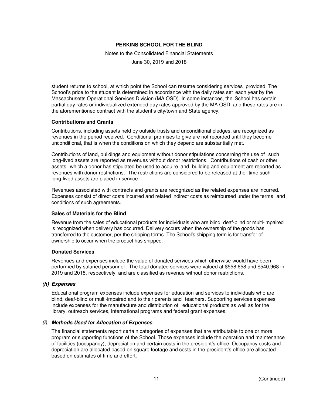Notes to the Consolidated Financial Statements

June 30, 2019 and 2018

student returns to school, at which point the School can resume considering services provided. The School's price to the student is determined in accordance with the daily rates set each year by the Massachusetts Operational Services Division (MA OSD). In some instances, the School has certain partial day rates or individualized extended day rates approved by the MA OSD and these rates are in the aforementioned contract with the student's city/town and State agency.

#### **Contributions and Grants**

Contributions, including assets held by outside trusts and unconditional pledges, are recognized as revenues in the period received. Conditional promises to give are not recorded until they become unconditional, that is when the conditions on which they depend are substantially met.

Contributions of land, buildings and equipment without donor stipulations concerning the use of such long-lived assets are reported as revenues without donor restrictions. Contributions of cash or other assets which a donor has stipulated be used to acquire land, building and equipment are reported as revenues with donor restrictions. The restrictions are considered to be released at the time such long-lived assets are placed in service.

Revenues associated with contracts and grants are recognized as the related expenses are incurred. Expenses consist of direct costs incurred and related indirect costs as reimbursed under the terms and conditions of such agreements.

#### **Sales of Materials for the Blind**

Revenue from the sales of educational products for individuals who are blind, deaf-blind or multi-impaired is recognized when delivery has occurred. Delivery occurs when the ownership of the goods has transferred to the customer, per the shipping terms. The School's shipping term is for transfer of ownership to occur when the product has shipped.

#### **Donated Services**

Revenues and expenses include the value of donated services which otherwise would have been performed by salaried personnel. The total donated services were valued at \$558,658 and \$540,968 in 2019 and 2018, respectively, and are classified as revenue without donor restrictions.

#### **(h) Expenses**

Educational program expenses include expenses for education and services to individuals who are blind, deaf-blind or multi-impaired and to their parents and teachers. Supporting services expenses include expenses for the manufacture and distribution of educational products as well as for the library, outreach services, international programs and federal grant expenses.

#### **(i) Methods Used for Allocation of Expenses**

The financial statements report certain categories of expenses that are attributable to one or more program or supporting functions of the School. Those expenses include the operation and maintenance of facilities (occupancy), depreciation and certain costs in the president's office. Occupancy costs and depreciation are allocated based on square footage and costs in the president's office are allocated based on estimates of time and effort.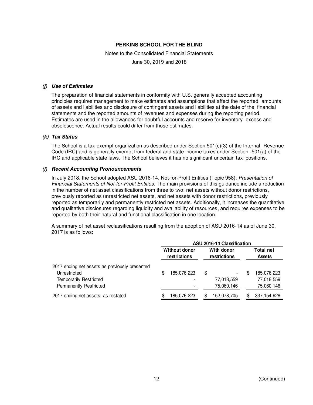Notes to the Consolidated Financial Statements

June 30, 2019 and 2018

#### **(j) Use of Estimates**

The preparation of financial statements in conformity with U.S. generally accepted accounting principles requires management to make estimates and assumptions that affect the reported amounts of assets and liabilities and disclosure of contingent assets and liabilities at the date of the financial statements and the reported amounts of revenues and expenses during the reporting period. Estimates are used in the allowances for doubtful accounts and reserve for inventory excess and obsolescence. Actual results could differ from those estimates.

#### **(k) Tax Status**

The School is a tax-exempt organization as described under Section 501(c)(3) of the Internal Revenue Code (IRC) and is generally exempt from federal and state income taxes under Section 501(a) of the IRC and applicable state laws. The School believes it has no significant uncertain tax positions.

#### **(l) Recent Accounting Pronouncements**

In July 2018, the School adopted ASU 2016-14, Not-for-Profit Entities (Topic 958): *Presentation of Financial Statements of Not-for-Profit Entities.* The main provisions of this guidance include a reduction in the number of net asset classifications from three to two: net assets without donor restrictions, previously reported as unrestricted net assets, and net assets with donor restrictions, previously reported as temporarily and permanently restricted net assets. Additionally, it increases the quantitative and qualitative disclosures regarding liquidity and availability of resources, and requires expenses to be reported by both their natural and functional classification in one location.

A summary of net asset reclassifications resulting from the adoption of ASU 2016-14 as of June 30, 2017 is as follows:

|                                                | ASU 2016-14 Classification |                               |    |                            |   |                                   |
|------------------------------------------------|----------------------------|-------------------------------|----|----------------------------|---|-----------------------------------|
|                                                |                            | Without donor<br>restrictions |    | With donor<br>restrictions |   | <b>Total net</b><br><b>Assets</b> |
| 2017 ending net assets as previously presented |                            |                               |    |                            |   |                                   |
| Unrestricted                                   | \$.                        | 185,076,223                   | \$ |                            | S | 185,076,223                       |
| <b>Temporarily Restricted</b>                  |                            |                               |    | 77,018,559                 |   | 77,018,559                        |
| <b>Permanently Restricted</b>                  |                            |                               |    | 75,060,146                 |   | 75,060,146                        |
| 2017 ending net assets, as restated            |                            | 185,076,223                   |    | 152,078,705                |   | 337, 154, 928                     |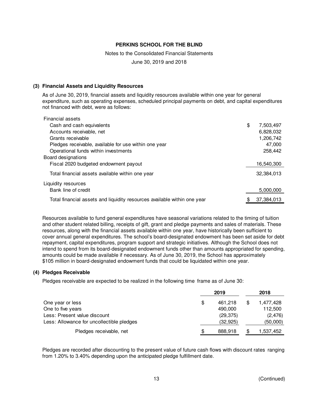Notes to the Consolidated Financial Statements

June 30, 2019 and 2018

#### **(3) Financial Assets and Liquidity Resources**

As of June 30, 2019, financial assets and liquidity resources available within one year for general expenditure, such as operating expenses, scheduled principal payments on debt, and capital expenditures not financed with debt, were as follows:

| Financial assets                                                         |                 |
|--------------------------------------------------------------------------|-----------------|
| Cash and cash equivalents                                                | \$<br>7,503,497 |
| Accounts receivable, net                                                 | 6,828,032       |
| Grants receivable                                                        | 1,206,742       |
| Pledges receivable, available for use within one year                    | 47,000          |
| Operational funds within investments                                     | 258,442         |
| Board designations                                                       |                 |
| Fiscal 2020 budgeted endowment payout                                    | 16.540.300      |
| Total financial assets available within one year                         | 32,384,013      |
| Liquidity resources                                                      |                 |
| Bank line of credit                                                      | 5,000,000       |
| Total financial assets and liquidity resources available within one year | 37,384,013      |

Resources available to fund general expenditures have seasonal variations related to the timing of tuition and other student related billing, receipts of gift, grant and pledge payments and sales of materials. These resources, along with the financial assets available within one year, have historically been sufficient to cover annual general expenditures. The school's board-designated endowment has been set aside for debt repayment, capital expenditures, program support and strategic initiatives. Although the School does not intend to spend from its board-designated endowment funds other than amounts appropriated for spending, amounts could be made available if necessary. As of June 30, 2019, the School has approximately \$105 million in board-designated endowment funds that could be liquidated within one year.

#### **(4) Pledges Receivable**

Pledges receivable are expected to be realized in the following time frame as of June 30:

|                                           | 2019 |           |  | 2018      |
|-------------------------------------------|------|-----------|--|-----------|
| One year or less                          | \$   | 461.218   |  | 1.477.428 |
| One to five years                         |      | 490,000   |  | 112,500   |
| Less: Present value discount              |      | (29, 375) |  | (2, 476)  |
| Less: Allowance for uncollectible pledges |      | (32, 925) |  | (50,000)  |
| Pledges receivable, net                   | \$   | 888,918   |  | 1,537,452 |

Pledges are recorded after discounting to the present value of future cash flows with discount rates ranging from 1.20% to 3.40% depending upon the anticipated pledge fulfillment date.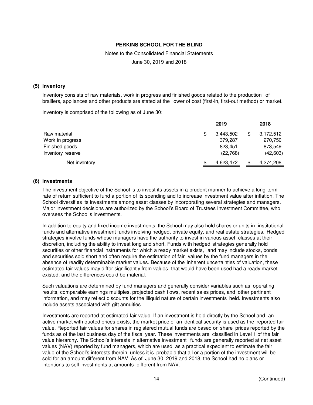Notes to the Consolidated Financial Statements

June 30, 2019 and 2018

#### **(5) Inventory**

Inventory consists of raw materials, work in progress and finished goods related to the production of braillers, appliances and other products are stated at the lower of cost (first-in, first-out method) or market.

Inventory is comprised of the following as of June 30:

|                   |    | 2018      |    |           |
|-------------------|----|-----------|----|-----------|
| Raw material      | \$ | 3,443,502 | \$ | 3,172,512 |
| Work in progress  |    | 379,287   |    | 270,750   |
| Finished goods    |    | 823,451   |    | 873,549   |
| Inventory reserve |    | (22, 768) |    | (42, 603) |
| Net inventory     | S  | 4,623,472 |    | 4,274,208 |

#### **(6) Investments**

The investment objective of the School is to invest its assets in a prudent manner to achieve a long-term rate of return sufficient to fund a portion of its spending and to increase investment value after inflation. The School diversifies its investments among asset classes by incorporating several strategies and managers. Major investment decisions are authorized by the School's Board of Trustees Investment Committee, who oversees the School's investments.

In addition to equity and fixed income investments, the School may also hold shares or units in institutional funds and alternative investment funds involving hedged, private equity, and real estate strategies. Hedged strategies involve funds whose managers have the authority to invest in various asset classes at their discretion, including the ability to invest long and short. Funds with hedged strategies generally hold securities or other financial instruments for which a ready market exists, and may include stocks, bonds and securities sold short and often require the estimation of fair values by the fund managers in the absence of readily determinable market values. Because of the inherent uncertainties of valuation, these estimated fair values may differ significantly from values that would have been used had a ready market existed, and the differences could be material.

Such valuations are determined by fund managers and generally consider variables such as operating results, comparable earnings multiples, projected cash flows, recent sales prices, and other pertinent information, and may reflect discounts for the illiquid nature of certain investments held. Investments also include assets associated with gift annuities.

Investments are reported at estimated fair value. If an investment is held directly by the School and an active market with quoted prices exists, the market price of an identical security is used as the reported fair value. Reported fair values for shares in registered mutual funds are based on share prices reported by the funds as of the last business day of the fiscal year. These investments are classified in Level 1 of the fair value hierarchy. The School's interests in alternative investment funds are generally reported at net asset values (NAV) reported by fund managers, which are used as a practical expedient to estimate the fair value of the School's interests therein, unless it is probable that all or a portion of the investment will be sold for an amount different from NAV. As of June 30, 2019 and 2018, the School had no plans or intentions to sell investments at amounts different from NAV.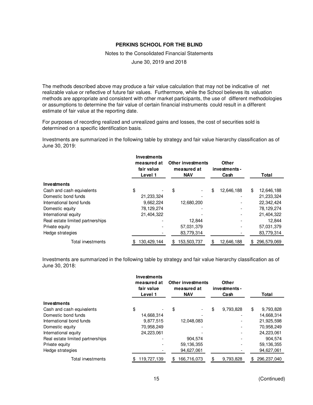Notes to the Consolidated Financial Statements

June 30, 2019 and 2018

The methods described above may produce a fair value calculation that may not be indicative of net realizable value or reflective of future fair values. Furthermore, while the School believes its valuation methods are appropriate and consistent with other market participants, the use of different methodologies or assumptions to determine the fair value of certain financial instruments could result in a different estimate of fair value at the reporting date.

For purposes of recording realized and unrealized gains and losses, the cost of securities sold is determined on a specific identification basis.

Investments are summarized in the following table by strategy and fair value hierarchy classification as of June 30, 2019:

|                                  | <b>Investments</b><br>measured at<br>fair value<br>Level 1 | <b>Other investments</b><br>measured at<br><b>NAV</b> | Other<br>investments -<br>Cash | Total             |
|----------------------------------|------------------------------------------------------------|-------------------------------------------------------|--------------------------------|-------------------|
| Investments                      |                                                            |                                                       |                                |                   |
| Cash and cash equivalents        | \$                                                         | \$                                                    | \$<br>12,646,188               | \$<br>12,646,188  |
| Domestic bond funds              | 21,233,324                                                 |                                                       |                                | 21,233,324        |
| International bond funds         | 9,662,224                                                  | 12,680,200                                            |                                | 22,342,424        |
| Domestic equity                  | 78,129,274                                                 |                                                       |                                | 78,129,274        |
| International equity             | 21,404,322                                                 |                                                       |                                | 21,404,322        |
| Real estate limited partnerships |                                                            | 12,844                                                |                                | 12,844            |
| Private equity                   |                                                            | 57,031,379                                            |                                | 57,031,379        |
| Hedge strategies                 |                                                            | 83,779,314                                            |                                | 83,779,314        |
| Total investments                | 130,429,144                                                | 153,503,737<br>\$                                     | 12,646,188                     | 296,579,069<br>\$ |

Investments are summarized in the following table by strategy and fair value hierarchy classification as of June 30, 2018:

|                                  | <b>Investments</b><br>measured at<br>fair value<br>Level 1 | <b>Other investments</b><br>measured at<br><b>NAV</b> | Other<br>investments -<br>Cash | Total              |
|----------------------------------|------------------------------------------------------------|-------------------------------------------------------|--------------------------------|--------------------|
| <b>Investments</b>               |                                                            |                                                       |                                |                    |
| Cash and cash equivalents        | \$                                                         | \$                                                    | \$<br>9,793,828                | \$<br>9,793,828    |
| Domestic bond funds              | 14,668,314                                                 |                                                       |                                | 14,668,314         |
| International bond funds         | 9,877,515                                                  | 12,048,083                                            |                                | 21,925,598         |
| Domestic equity                  | 70,958,249                                                 |                                                       |                                | 70,958,249         |
| International equity             | 24,223,061                                                 |                                                       |                                | 24,223,061         |
| Real estate limited partnerships |                                                            | 904,574                                               |                                | 904,574            |
| Private equity                   |                                                            | 59,136,355                                            |                                | 59,136,355         |
| Hedge strategies                 |                                                            | 94,627,061                                            |                                | 94,627,061         |
| Total investments                | 119,727,139                                                | 166,716,073<br>\$                                     | \$<br>9,793,828                | 296,237,040<br>\$. |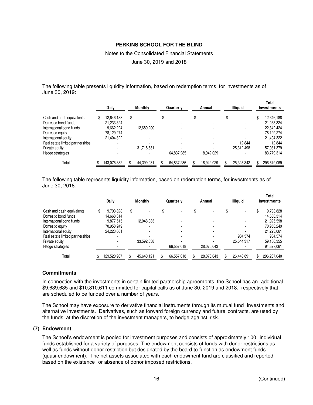Notes to the Consolidated Financial Statements

June 30, 2019 and 2018

The following table presents liquidity information, based on redemption terms, for investments as of June 30, 2019:

|                                  | Daily       | <b>Monthly</b><br>Quarterly<br>Annual |            | <b>Illiguid</b> | Total<br><b>Investments</b> |            |    |             |
|----------------------------------|-------------|---------------------------------------|------------|-----------------|-----------------------------|------------|----|-------------|
| Cash and cash equivalents        | 12.646.188  |                                       |            |                 |                             |            | \$ | 12,646,188  |
| Domestic bond funds              | 21,233,324  |                                       |            |                 |                             |            |    | 21,233,324  |
| International bond funds         | 9.662.224   |                                       | 12.680.200 |                 |                             |            |    | 22,342,424  |
| Domestic equity                  | 78,129,274  |                                       |            |                 |                             |            |    | 78,129,274  |
| International equity             | 21.404.322  |                                       |            |                 |                             |            |    | 21,404,322  |
| Real estate limited partnerships |             |                                       |            |                 |                             | 12.844     |    | 12.844      |
| Private equity                   |             |                                       | 31,718,881 |                 |                             | 25,312,498 |    | 57,031,379  |
| Hedge strategies                 |             |                                       |            | 64,837,285      | 18.942.029                  |            |    | 83,779,314  |
| Total                            | 143,075,332 |                                       | 44,399,081 | 64,837,285      | 18,942,029                  | 25,325,342 |    | 296,579,069 |

The following table represents liquidity information, based on redemption terms, for investments as of June 30, 2018:

|                                  | Daily       | <b>Monthly</b> | Quarterly<br>Annual |  | <b>Illiguid</b> |            | Total<br><b>Investments</b> |             |
|----------------------------------|-------------|----------------|---------------------|--|-----------------|------------|-----------------------------|-------------|
| Cash and cash equivalents        | 9.793.828   | \$             |                     |  |                 |            | \$                          | 9,793,828   |
| Domestic bond funds              | 14,668,314  |                |                     |  |                 |            |                             | 14,668,314  |
| International bond funds         | 9.877.515   | 12.048.083     |                     |  |                 |            |                             | 21,925,598  |
| Domestic equity                  | 70,958,249  |                |                     |  |                 |            |                             | 70,958,249  |
| International equity             | 24.223.061  |                |                     |  |                 |            |                             | 24,223,061  |
| Real estate limited partnerships |             |                |                     |  |                 | 904.574    |                             | 904.574     |
| Private equity                   |             | 33,592,038     |                     |  |                 | 25,544,317 |                             | 59,136,355  |
| Hedge strategies                 |             |                | 66,557,018          |  | 28,070,043      |            |                             | 94,627,061  |
| Total                            | 129,520,967 | 45,640,121     | 66,557,018          |  | 28,070,043      | 26,448,891 |                             | 296,237,040 |

#### **Commitments**

In connection with the investments in certain limited partnership agreements, the School has an additional \$9,639,635 and \$10,810,611 committed for capital calls as of June 30, 2019 and 2018, respectively that are scheduled to be funded over a number of years.

The School may have exposure to derivative financial instruments through its mutual fund investments and alternative investments. Derivatives, such as forward foreign currency and future contracts, are used by the funds, at the discretion of the investment managers, to hedge against risk.

#### **(7) Endowment**

The School's endowment is pooled for investment purposes and consists of approximately 100 individual funds established for a variety of purposes. The endowment consists of funds with donor restrictions as well as funds without donor restriction but designated by the board to function as endowment funds (quasi-endowment). The net assets associated with each endowment fund are classified and reported based on the existence or absence of donor imposed restrictions.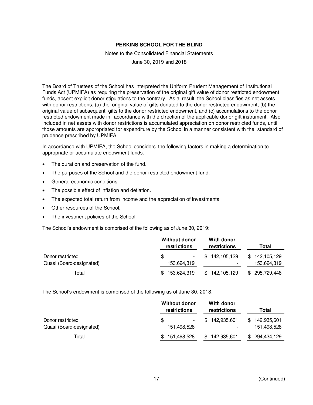Notes to the Consolidated Financial Statements

June 30, 2019 and 2018

The Board of Trustees of the School has interpreted the Uniform Prudent Management of Institutional Funds Act (UPMIFA) as requiring the preservation of the original gift value of donor restricted endowment funds, absent explicit donor stipulations to the contrary. As a result, the School classifies as net assets with donor restrictions, (a) the original value of gifts donated to the donor restricted endowment, (b) the original value of subsequent gifts to the donor restricted endowment, and (c) accumulations to the donor restricted endowment made in accordance with the direction of the applicable donor gift instrument. Also included in net assets with donor restrictions is accumulated appreciation on donor restricted funds, until those amounts are appropriated for expenditure by the School in a manner consistent with the standard of prudence prescribed by UPMIFA.

In accordance with UPMIFA, the School considers the following factors in making a determination to appropriate or accumulate endowment funds:

- The duration and preservation of the fund.
- The purposes of the School and the donor restricted endowment fund.
- General economic conditions.
- The possible effect of inflation and deflation.
- The expected total return from income and the appreciation of investments.
- Other resources of the School.
- The investment policies of the School.

The School's endowment is comprised of the following as of June 30, 2019:

|                                              | <b>Without donor</b><br>restrictions           | With donor<br>restrictions | Total                        |
|----------------------------------------------|------------------------------------------------|----------------------------|------------------------------|
| Donor restricted<br>Quasi (Board-designated) | \$.<br>$\overline{\phantom{a}}$<br>153,624,319 | \$142,105,129              | \$142,105,129<br>153,624,319 |
| Total                                        | 153,624,319                                    | 142, 105, 129<br>\$        | 295,729,448                  |

The School's endowment is comprised of the following as of June 30, 2018:

|                                              | <b>Without donor</b><br>restrictions          | With donor<br>restrictions | Total                            |
|----------------------------------------------|-----------------------------------------------|----------------------------|----------------------------------|
| Donor restricted<br>Quasi (Board-designated) | \$<br>$\overline{\phantom{a}}$<br>151,498,528 | 142.935.601<br>\$.         | 142,935,601<br>\$<br>151,498,528 |
| Total                                        | 151,498,528                                   | 142,935,601<br>\$          | 294,434,129                      |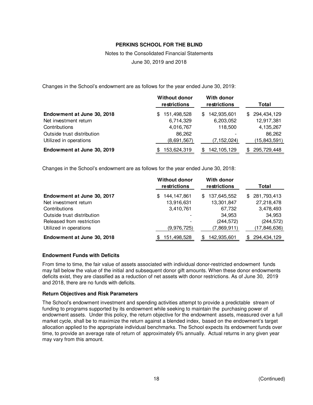### Notes to the Consolidated Financial Statements June 30, 2019 and 2018

Changes in the School's endowment are as follows for the year ended June 30, 2019:

|                            | <b>Without donor</b><br>restrictions | With donor<br>restrictions | Total              |
|----------------------------|--------------------------------------|----------------------------|--------------------|
| Endowment at June 30, 2018 | 151,498,528<br>\$                    | 142,935,601<br>\$          | 294,434,129<br>\$. |
| Net investment return      | 6,714,329                            | 6,203,052                  | 12,917,381         |
| Contributions              | 4,016,767                            | 118,500                    | 4,135,267          |
| Outside trust distribution | 86,262                               |                            | 86,262             |
| Utilized in operations     | (8,691,567)                          | (7,152,024)                | (15, 843, 591)     |
| Endowment at June 30, 2019 | 153,624,319                          | 142, 105, 129              | 295,729,448<br>S   |

Changes in the School's endowment are as follows for the year ended June 30, 2018:

|                            | <b>Without donor</b><br>restrictions | <b>With donor</b><br>restrictions | Total             |
|----------------------------|--------------------------------------|-----------------------------------|-------------------|
| Endowment at June 30, 2017 | 144, 147, 861<br>\$.                 | 137,645,552<br>S                  | 281,793,413<br>\$ |
| Net investment return      | 13,916,631                           | 13,301,847                        | 27,218,478        |
| Contributions              | 3,410,761                            | 67,732                            | 3,478,493         |
| Outside trust distribution |                                      | 34,953                            | 34,953            |
| Released from restriction  |                                      | (244, 572)                        | (244, 572)        |
| Utilized in operations     | (9,976,725)                          | (7,869,911)                       | (17,846,636)      |
| Endowment at June 30, 2018 | 151,498,528                          | 142,935,601                       | 294,434,129<br>\$ |

#### **Endowment Funds with Deficits**

From time to time, the fair value of assets associated with individual donor-restricted endowment funds may fall below the value of the initial and subsequent donor gift amounts. When these donor endowments deficits exist, they are classified as a reduction of net assets with donor restrictions. As of June 30, 2019 and 2018, there are no funds with deficits.

#### **Return Objectives and Risk Parameters**

The School's endowment investment and spending activities attempt to provide a predictable stream of funding to programs supported by its endowment while seeking to maintain the purchasing power of endowment assets. Under this policy, the return objective for the endowment assets, measured over a full market cycle, shall be to maximize the return against a blended index, based on the endowment's target allocation applied to the appropriate individual benchmarks. The School expects its endowment funds over time, to provide an average rate of return of approximately 6% annually. Actual returns in any given year may vary from this amount.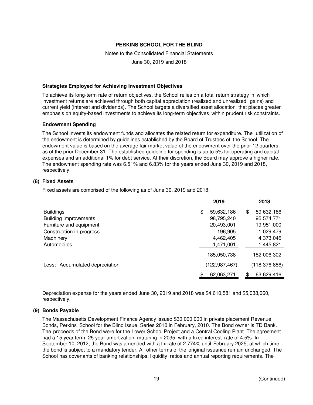Notes to the Consolidated Financial Statements

June 30, 2019 and 2018

#### **Strategies Employed for Achieving Investment Objectives**

To achieve its long-term rate of return objectives, the School relies on a total return strategy in which investment returns are achieved through both capital appreciation (realized and unrealized gains) and current yield (interest and dividends). The School targets a diversified asset allocation that places greater emphasis on equity-based investments to achieve its long-term objectives within prudent risk constraints.

#### **Endowment Spending**

The School invests its endowment funds and allocates the related return for expenditure. The utilization of the endowment is determined by guidelines established by the Board of Trustees of the School. The endowment value is based on the average fair market value of the endowment over the prior 12 quarters, as of the prior December 31. The established guideline for spending is up to 5% for operating and capital expenses and an additional 1% for debt service. At their discretion, the Board may approve a higher rate. The endowment spending rate was 6.51% and 6.83% for the years ended June 30, 2019 and 2018, respectively.

#### **(8) Fixed Assets**

Fixed assets are comprised of the following as of June 30, 2019 and 2018:

|                                | 2019             | 2018             |
|--------------------------------|------------------|------------------|
| <b>Buildings</b>               | \$<br>59,632,186 | \$<br>59,632,186 |
| <b>Building improvements</b>   | 98,795,240       | 95,574,771       |
| Furniture and equipment        | 20,493,001       | 19,951,000       |
| Construction in progress       | 196,905          | 1,029,479        |
| Machinery                      | 4,462,405        | 4,373,045        |
| Automobiles                    | 1,471,001        | 1,445,821        |
|                                | 185,050,738      | 182,006,302      |
| Less: Accumulated depreciation | (122,987,467)    | (118,376,886)    |
|                                | 62,063,271       | 63,629,416       |

Depreciation expense for the years ended June 30, 2019 and 2018 was \$4,610,581 and \$5,038,660, respectively.

#### **(9) Bonds Payable**

The Massachusetts Development Finance Agency issued \$30,000,000 in private placement Revenue Bonds, Perkins School for the Blind Issue, Series 2010 in February, 2010. The Bond owner is TD Bank. The proceeds of the Bond were for the Lower School Project and a Central Cooling Plant. The agreement had a 15 year term, 25 year amortization, maturing in 2035, with a fixed interest rate of 4.5%. In September 10, 2012, the Bond was amended with a fix rate of 2.774% until February 2025, at which time the bond is subject to a mandatory tender. All other terms of the original issuance remain unchanged. The School has covenants of banking relationships, liquidity ratios and annual reporting requirements. The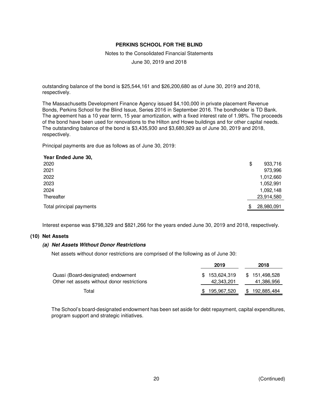Notes to the Consolidated Financial Statements June 30, 2019 and 2018

outstanding balance of the bond is \$25,544,161 and \$26,200,680 as of June 30, 2019 and 2018, respectively.

The Massachusetts Development Finance Agency issued \$4,100,000 in private placement Revenue Bonds, Perkins School for the Blind Issue, Series 2016 in September 2016. The bondholder is TD Bank. The agreement has a 10 year term, 15 year amortization, with a fixed interest rate of 1.98%. The proceeds of the bond have been used for renovations to the Hilton and Howe buildings and for other capital needs. The outstanding balance of the bond is \$3,435,930 and \$3,680,929 as of June 30, 2019 and 2018, respectively.

Principal payments are due as follows as of June 30, 2019:

#### **Year Ended June 30,**

| 2020                     | \$<br>933,716    |
|--------------------------|------------------|
| 2021                     | 973,996          |
| 2022                     | 1,012,660        |
| 2023                     | 1,052,991        |
| 2024                     | 1,092,148        |
| Thereafter               | 23,914,580       |
| Total principal payments | \$<br>28,980,091 |

Interest expense was \$798,329 and \$821,266 for the years ended June 30, 2019 and 2018, respectively.

#### **(10) Net Assets**

#### **(a) Net Assets Without Donor Restrictions**

Net assets without donor restrictions are comprised of the following as of June 30:

|                                                                                   | 2019                        | 2018                        |
|-----------------------------------------------------------------------------------|-----------------------------|-----------------------------|
| Quasi (Board-designated) endowment<br>Other net assets without donor restrictions | \$153.624.319<br>42.343.201 | \$151,498,528<br>41,386,956 |
| Total                                                                             | 195,967,520                 | \$192,885,484               |

The School's board-designated endowment has been set aside for debt repayment, capital expenditures, program support and strategic initiatives.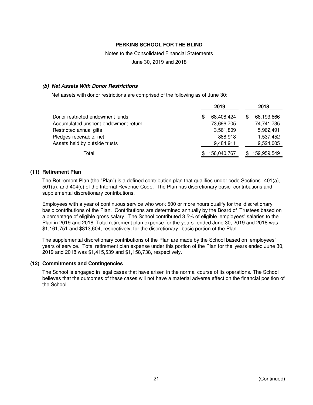# Notes to the Consolidated Financial Statements

June 30, 2019 and 2018

#### **(b) Net Assets With Donor Restrictions**

Net assets with donor restrictions are comprised of the following as of June 30:

|                                      | 2019        | 2018        |
|--------------------------------------|-------------|-------------|
| Donor restricted endowment funds     | 68.408.424  | 68,193,866  |
| Accumulated unspent endowment return | 73,696,705  | 74,741,735  |
| Restricted annual gifts              | 3,561,809   | 5,962,491   |
| Pledges receivable, net              | 888.918     | 1,537,452   |
| Assets held by outside trusts        | 9,484,911   | 9,524,005   |
| Total                                | 156,040,767 | 159,959,549 |

#### **(11) Retirement Plan**

The Retirement Plan (the "Plan") is a defined contribution plan that qualifies under code Sections 401(a), 501(a), and 404(c) of the Internal Revenue Code. The Plan has discretionary basic contributions and supplemental discretionary contributions.

Employees with a year of continuous service who work 500 or more hours qualify for the discretionary basic contributions of the Plan. Contributions are determined annually by the Board of Trustees based on a percentage of eligible gross salary. The School contributed 3.5% of eligible employees' salaries to the Plan in 2019 and 2018. Total retirement plan expense for the years ended June 30, 2019 and 2018 was \$1,161,751 and \$813,604, respectively, for the discretionary basic portion of the Plan.

The supplemental discretionary contributions of the Plan are made by the School based on employees' years of service. Total retirement plan expense under this portion of the Plan for the years ended June 30, 2019 and 2018 was \$1,415,539 and \$1,158,738, respectively.

#### **(12) Commitments and Contingencies**

The School is engaged in legal cases that have arisen in the normal course of its operations. The School believes that the outcomes of these cases will not have a material adverse effect on the financial position of the School.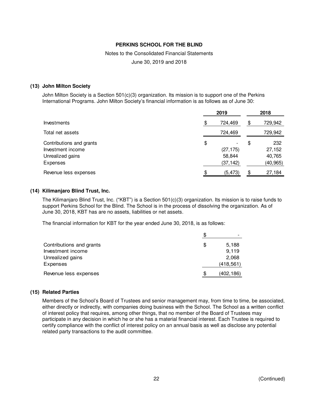#### Notes to the Consolidated Financial Statements

June 30, 2019 and 2018

#### **(13) John Milton Society**

John Milton Society is a Section 501(c)(3) organization. Its mission is to support one of the Perkins International Programs. John Milton Society's financial information is as follows as of June 30:

|                                                                               | 2019                                   |    | 2018                                 |
|-------------------------------------------------------------------------------|----------------------------------------|----|--------------------------------------|
| Investments                                                                   | \$<br>724,469                          | S  | 729,942                              |
| Total net assets                                                              | 724,469                                |    | 729,942                              |
| Contributions and grants<br>Investment income<br>Unrealized gains<br>Expenses | \$<br>(27, 175)<br>58,844<br>(37, 142) | \$ | 232<br>27,152<br>40,765<br>(40, 965) |
| Revenue less expenses                                                         | \$<br>(5, 473)                         |    | 27,184                               |

#### **(14) Kilimanjaro Blind Trust, Inc.**

The Kilimanjaro Blind Trust, Inc. ("KBT") is a Section 501(c)(3) organization. Its mission is to raise funds to support Perkins School for the Blind. The School is in the process of dissolving the organization. As of June 30, 2018, KBT has are no assets, liabilities or net assets.

The financial information for KBT for the year ended June 30, 2018, is as follows:

|                          |     | $\overline{\phantom{0}}$ |
|--------------------------|-----|--------------------------|
| Contributions and grants | \$  | 5,188                    |
| Investment income        |     | 9,119                    |
| Unrealized gains         |     | 2.068                    |
| Expenses                 |     | (418, 561)               |
| Revenue less expenses    | \$. | (402, 186)               |

#### **(15) Related Parties**

Members of the School's Board of Trustees and senior management may, from time to time, be associated, either directly or indirectly, with companies doing business with the School. The School as a written conflict of interest policy that requires, among other things, that no member of the Board of Trustees may participate in any decision in which he or she has a material financial interest. Each Trustee is required to certify compliance with the conflict of interest policy on an annual basis as well as disclose any potential related party transactions to the audit committee.